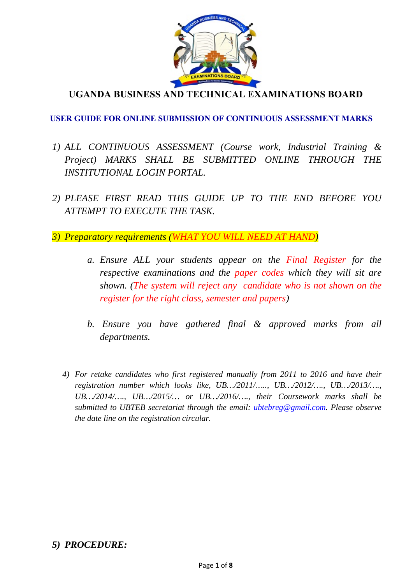

**UGANDA BUSINESS AND TECHNICAL EXAMINATIONS BOARD** 

### **USER GUIDE FOR ONLINE SUBMISSION OF CONTINUOUS ASSESSMENT MARKS**

- *1) ALL CONTINUOUS ASSESSMENT (Course work, Industrial Training & Project) MARKS SHALL BE SUBMITTED ONLINE THROUGH THE INSTITUTIONAL LOGIN PORTAL.*
- *2) PLEASE FIRST READ THIS GUIDE UP TO THE END BEFORE YOU ATTEMPT TO EXECUTE THE TASK.*
- *3) Preparatory requirements (WHAT YOU WILL NEED AT HAND)* 
	- *a. Ensure ALL your students appear on the Final Register for the respective examinations and the paper codes which they will sit are shown. (The system will reject any candidate who is not shown on the register for the right class, semester and papers)*
	- *b. Ensure you have gathered final & approved marks from all departments.*
	- *4) For retake candidates who first registered manually from 2011 to 2016 and have their registration number which looks like, UB…/2011/….., UB…/2012/…., UB…/2013/…., UB…/2014/…., UB…/2015/… or UB…/2016/…., their Coursework marks shall be submitted to UBTEB secretariat through the email: ubtebreg@gmail.com. Please observe the date line on the registration circular.*

## *5) PROCEDURE:*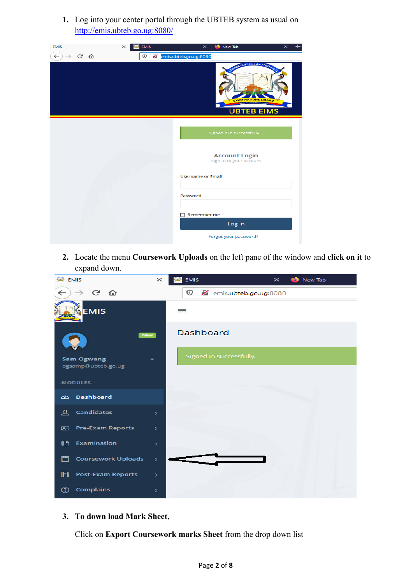**1.** Log into your center portal through the UBTEB system as usual on http://emis.ubteb.go.ug:8080/

| <b>EMIS</b><br><b>EMIS</b><br>$\times$ | New Tab<br>$\times$<br>$\times$<br>÷D                                                       |
|----------------------------------------|---------------------------------------------------------------------------------------------|
| G.<br>⋒<br>O<br>←                      | emis.ubteb.go.ug:8080                                                                       |
|                                        | BUSINESS AND TECH<br><b>AMINATIONS BOARD</b><br>ore for Quality Assess<br><b>UBTEB EIMS</b> |
|                                        |                                                                                             |
|                                        | Signed out successfully.                                                                    |
|                                        | <b>Account Login</b><br>Sign In to your account                                             |
|                                        | <b>Username or Email</b>                                                                    |
|                                        |                                                                                             |
|                                        | Password                                                                                    |
|                                        | Remember me                                                                                 |
|                                        | Log in                                                                                      |
|                                        | Forgot your password?                                                                       |

**2.** Locate the menu **Coursework Uploads** on the left pane of the window and **click on it** to expand down.

| л.<br><b>EMIS</b><br>$\times$                 | EMIS<br>New Tab<br>$\times$<br>53 |
|-----------------------------------------------|-----------------------------------|
| ල · ω<br>←                                    | ⊙<br>emis.ubteb.go.ug:8080        |
| <b>EMIS</b>                                   | 昌                                 |
| <b>New</b>                                    | Dashboard                         |
| <b>Sam Ogwang</b><br>ogsamp@ubteb.go.ug       | Signed in successfully.           |
| -MODULES-                                     |                                   |
| ය Dashboard                                   |                                   |
| <b>Candidates</b><br>요<br>⋋                   |                                   |
| <b>Pre-Exam Reports</b><br>図<br>$\rightarrow$ |                                   |
| Examination<br>ſ٦<br>$\rightarrow$            |                                   |
| ٣٦<br><b>Coursework Uploads</b><br>>          |                                   |
| D<br><b>Post-Exam Reports</b><br>⋗            |                                   |
| <b>Complains</b><br>◎<br>$\,>\,$              |                                   |

**3. To down load Mark Sheet**,

Click on **Export Coursework marks Sheet** from the drop down list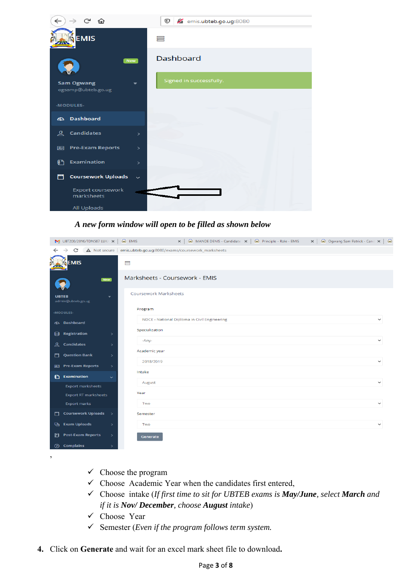

#### *A new form window will open to be filled as shown below*

|                | $\mathbb{N}_2$ UBT200/2016/TDN587 LUK/ $\mathbb{N}$ |                          | <b>EMIS</b>                    | $\times$                                                         | MANDE DENIS - Candidate $\vert x \vert \vert$ <b>A</b> Principle - Role - EMIS | ×   ■ Ogwang Sam Patrick - Cand ×   ■ |
|----------------|-----------------------------------------------------|--------------------------|--------------------------------|------------------------------------------------------------------|--------------------------------------------------------------------------------|---------------------------------------|
| $\leftarrow$   | C<br>$\rightarrow$                                  |                          |                                | A Not secure   emis.ubteb.go.ug:8080/exams/coursework_marksheets |                                                                                |                                       |
|                | <b>EMIS</b>                                         |                          | 〓                              |                                                                  |                                                                                |                                       |
|                |                                                     | New                      | Marksheets - Coursework - EMIS |                                                                  |                                                                                |                                       |
|                | <b>UBTEB</b><br>admin@ubteb.go.ug                   | $\overline{\phantom{a}}$ | <b>Coursework Marksheets</b>   |                                                                  |                                                                                |                                       |
|                | -MODULES-                                           |                          | Program                        |                                                                  |                                                                                |                                       |
|                | ය Dashboard                                         |                          |                                | NDCE - National Diploma in Civil Engineering                     |                                                                                | $\checkmark$                          |
| ⊟              | Registration                                        | $\rightarrow$            | Specialization                 |                                                                  |                                                                                |                                       |
| 요              | <b>Candidates</b>                                   | $\rightarrow$            | -Any-                          |                                                                  |                                                                                |                                       |
| 鬥              | <b>Question Bank</b>                                | $\rightarrow$            | Academic year                  |                                                                  |                                                                                |                                       |
|                | 图 Pre-Exam Reports                                  | $\rightarrow$            | 2018/2019                      |                                                                  |                                                                                | $\checkmark$                          |
| $\mathbf{C}$   | <b>Examination</b>                                  | $\checkmark$             | Intake                         |                                                                  |                                                                                |                                       |
|                | <b>Export marksheets</b>                            |                          | August                         |                                                                  |                                                                                | $\checkmark$                          |
|                | <b>Export RT marksheets</b>                         |                          | Year                           |                                                                  |                                                                                |                                       |
|                | <b>Export marks</b>                                 |                          | Two                            |                                                                  |                                                                                | $\checkmark$                          |
| ٣              | <b>Coursework Uploads</b>                           | $\rightarrow$            | Semester                       |                                                                  |                                                                                |                                       |
| Q,             | <b>Exam Uploads</b>                                 | $\rightarrow$            | Two                            |                                                                  |                                                                                | $\checkmark$                          |
| Ð              | <b>Post-Exam Reports</b>                            | $\,$                     | Generate                       |                                                                  |                                                                                |                                       |
| $\circledcirc$ | <b>Complains</b>                                    | $\rightarrow$            |                                |                                                                  |                                                                                |                                       |
| ,              |                                                     |                          |                                |                                                                  |                                                                                |                                       |

- $\checkmark$  Choose the program
- $\checkmark$  Choose Academic Year when the candidates first entered,
- Choose intake (*If first time to sit for UBTEB exams is May/June, select March and if it is Nov/ December, choose August intake*)
- Choose Year
- Semester (*Even if the program follows term system.*
- **4.** Click on **Generate** and wait for an excel mark sheet file to download**.**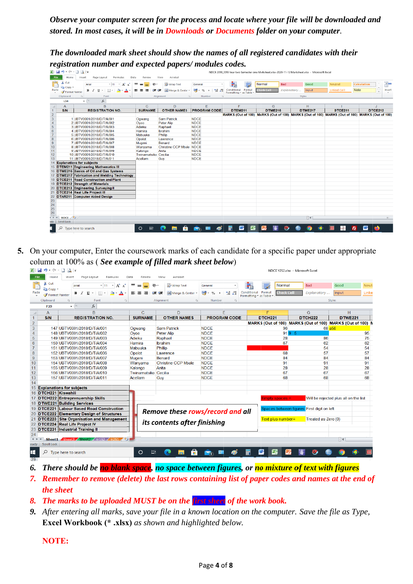*Observe* your computer screen for the process and locate where your file will be downloaded and *stored. In most cases, it will be in Downloads or Documents folder on your computer.* 

|                                                                                         | registration number and expected papers/modules codes.<br>$\Box$ $\Delta$ i=                                                                                |                      |                                         |                                                                             |                                             | NDCE 2018_2019 Year two Semester one Marksheet.xlsx-2020-11-12 Marksheet.xlsx - Microsoft Excel |                                            |                                       |                         |
|-----------------------------------------------------------------------------------------|-------------------------------------------------------------------------------------------------------------------------------------------------------------|----------------------|-----------------------------------------|-----------------------------------------------------------------------------|---------------------------------------------|-------------------------------------------------------------------------------------------------|--------------------------------------------|---------------------------------------|-------------------------|
| Home                                                                                    | Insert<br>Page Layout<br>Formulas                                                                                                                           |                      | View<br>Acroba                          |                                                                             |                                             |                                                                                                 |                                            |                                       |                         |
| & Cut<br><b>Ea</b> Copy                                                                 | $-11$<br>$\mathbf{A}^{\bullet}$<br>Aria                                                                                                                     |                      | Wrap Text                               | Genera                                                                      |                                             | Normal<br><b>Bad</b>                                                                            | Good                                       | Neutral                               | <b>Calculation</b>      |
| Format Painter<br>Clipboard                                                             | $B$ $I$ $U$ $\cdot$ $E$ $\cdot$<br>Font                                                                                                                     |                      | 確信<br>Merge & Center<br>Alianmen        | $\frac{1}{2}$ - %<br>$\frac{4.0}{.00}$ $\frac{.00}{.0}$<br>$\cdot$<br>Numbe | Conditional Format<br>Formatting * as Table | <b>Check Cel</b><br>Explanatory                                                                 | Input<br>Styles                            | <b>Linked Cell</b><br><b>Note</b>     | $\overline{\mathbf{v}}$ |
| L34                                                                                     | $f_x$                                                                                                                                                       |                      |                                         |                                                                             |                                             |                                                                                                 |                                            |                                       |                         |
| $\mathsf{A}$<br>S/N                                                                     | B<br><b>REGISTRATION NO</b>                                                                                                                                 | C<br><b>SURNAME</b>  | D<br><b>OTHER NAMES</b>                 | E<br><b>PROGRAM CODE</b>                                                    | F<br><b>DTEM211</b>                         | G<br><b>DTME216</b>                                                                             | н<br><b>DTME217</b>                        | <b>DTCE211</b>                        | <b>DTCE212</b>          |
|                                                                                         |                                                                                                                                                             |                      |                                         |                                                                             |                                             | MARKS (Out of 100) MARKS (Out of 100) MARKS (Out of 100) MARKS (Out of 100) MARKS (Out of 100)  |                                            |                                       |                         |
|                                                                                         | 1 UBTV0001/2018/D/T/A/001<br>2 UBTV0001/2018/D/T/A/002                                                                                                      | Ogwang<br>Oyoo       | <b>Sam Patrick</b><br><b>Peter Alip</b> | <b>NDCE</b><br><b>NDCE</b>                                                  |                                             |                                                                                                 |                                            |                                       |                         |
|                                                                                         | 3 UBTV0001/2018/D/T/A/003                                                                                                                                   | Adieku               | Raphael                                 | <b>NDCE</b>                                                                 |                                             |                                                                                                 |                                            |                                       |                         |
|                                                                                         | 4 UBTV0001/2018/D/T/A/004<br>5 UBTV0001/2018/D/T/A/005                                                                                                      | Hamira<br>Mabuuka    | Ibrahim<br>Phillip                      | <b>NDCE</b><br><b>NDCE</b>                                                  |                                             |                                                                                                 |                                            |                                       |                         |
|                                                                                         | 6 UBTV0001/2018/D/T/A/006                                                                                                                                   | Opolot               | Lawrence                                | <b>NDCE</b>                                                                 |                                             |                                                                                                 |                                            |                                       |                         |
|                                                                                         | 7 UBTV0001/2018/D/T/A/007                                                                                                                                   | Mugeni               | Benard                                  | <b>NDCE</b>                                                                 |                                             |                                                                                                 |                                            |                                       |                         |
|                                                                                         | 8 UBTV0001/2018/D/T/A/008<br>9 UBTV0001/2018/D/T/A/009                                                                                                      | Wanyama<br>Kalongo   | Christine CCP Mbale NDCE<br>Anita       | <b>NDCE</b>                                                                 |                                             |                                                                                                 |                                            |                                       |                         |
|                                                                                         | 10 UBTV0001/2018/D/T/A/010                                                                                                                                  | Twinamatsiko         | Cecilia                                 | <b>NDCE</b>                                                                 |                                             |                                                                                                 |                                            |                                       |                         |
|                                                                                         | 11 UBTV0001/2018/D/T/A/011<br>14 Explanations for subjects                                                                                                  | Acellam              | Guy                                     | <b>NDCE</b>                                                                 |                                             |                                                                                                 |                                            |                                       |                         |
|                                                                                         | 15 DTEM211 Engineering Mathematics III                                                                                                                      |                      |                                         |                                                                             |                                             |                                                                                                 |                                            |                                       |                         |
|                                                                                         | 16 DTME216 Basics of Oil and Gas Systems                                                                                                                    |                      |                                         |                                                                             |                                             |                                                                                                 |                                            |                                       |                         |
|                                                                                         | 17 DTME217 Fabrication and Welding Technology<br>18 DTCE211 Road Construction and Plant                                                                     |                      |                                         |                                                                             |                                             |                                                                                                 |                                            |                                       |                         |
|                                                                                         | 19 DTCE212 Strength of Materials                                                                                                                            |                      |                                         |                                                                             |                                             |                                                                                                 |                                            |                                       |                         |
|                                                                                         | 20 DTCE213 Engineering Surveying II                                                                                                                         |                      |                                         |                                                                             |                                             |                                                                                                 |                                            |                                       |                         |
|                                                                                         | 21 DTCE214 Real Life Project III<br>22 DTAR211 Computer Aided Design                                                                                        |                      |                                         |                                                                             |                                             |                                                                                                 |                                            |                                       |                         |
|                                                                                         |                                                                                                                                                             |                      |                                         |                                                                             |                                             |                                                                                                 |                                            |                                       |                         |
|                                                                                         |                                                                                                                                                             |                      |                                         |                                                                             |                                             |                                                                                                 |                                            |                                       |                         |
|                                                                                         |                                                                                                                                                             |                      |                                         |                                                                             |                                             |                                                                                                 |                                            |                                       |                         |
| OF H NDCE                                                                               |                                                                                                                                                             |                      |                                         |                                                                             |                                             |                                                                                                 | Π⊀                                         |                                       |                         |
| <b>Scroll Lock</b>                                                                      | Type here to search                                                                                                                                         | $\circ$<br>耳         |                                         |                                                                             | W.                                          |                                                                                                 |                                            |                                       | W,                      |
|                                                                                         |                                                                                                                                                             |                      |                                         |                                                                             |                                             |                                                                                                 |                                            | Fz.                                   |                         |
|                                                                                         | our computer, Enter the coursework marks of each candidate for a specific paper under appropriate<br>nn at 100% as (See example of filled mark sheet below) |                      |                                         |                                                                             |                                             |                                                                                                 |                                            |                                       |                         |
|                                                                                         |                                                                                                                                                             |                      |                                         |                                                                             |                                             |                                                                                                 | NDCE Y2S2.xlsx - Microsoft Excel           |                                       |                         |
| Insert                                                                                  | Page Lavout<br>Formulas<br>Data                                                                                                                             | Review               | Acrobat<br>View                         |                                                                             |                                             |                                                                                                 |                                            |                                       |                         |
|                                                                                         | $\mathbf{A}$ 11 $\mathbf{A}$ $\mathbf{A}$<br>Arial                                                                                                          | ≫<br>$=$             | ₩rap Text                               | General                                                                     |                                             | Normal                                                                                          | <b>Bad</b>                                 | Good                                  | <b>Neuti</b>            |
|                                                                                         | $\mathbf{A} \cdot \mathbf{A}$<br><b>B</b> <i>I</i> U *   ⊞ *                                                                                                | まき<br>達              | 使相<br>Fax Merge & Center *              | 뙗~ %<br>$\cdot$                                                             | $\ddot{.}^{00}_{0}$<br>$\frac{4.0}{00}$     | Conditional Format<br>Check Cel<br>Formatting <b>*</b> as Table                                 | Explanatory                                | Input                                 | Linke                   |
|                                                                                         | Font                                                                                                                                                        |                      | Alignment                               | Number                                                                      |                                             |                                                                                                 |                                            | <b>Styles</b>                         |                         |
| $-$ ( $=$                                                                               | fx                                                                                                                                                          |                      |                                         |                                                                             |                                             |                                                                                                 |                                            |                                       |                         |
|                                                                                         | B                                                                                                                                                           | C                    | D                                       |                                                                             | Е                                           |                                                                                                 | G                                          | н                                     |                         |
|                                                                                         | <b>REGISTRATION NO.</b>                                                                                                                                     | <b>SURNAME</b>       | <b>OTHER NAMES</b>                      |                                                                             | <b>PROGRAM CODE</b>                         | DTCH <sub>221</sub>                                                                             | DTCH222                                    | <b>DTWE221</b>                        |                         |
|                                                                                         |                                                                                                                                                             |                      |                                         |                                                                             |                                             | MARKS (Out of 100) MARKS (Out of 100) MARKS (Out of 100) M                                      |                                            |                                       |                         |
|                                                                                         | 147 UBTV0001/2018/D/T/A/001                                                                                                                                 | Ogwang               | <b>Sam Patrick</b>                      | NDCE                                                                        |                                             | 96                                                                                              |                                            | 68 a                                  |                         |
|                                                                                         | 148 UBTV0001/2018/D/T/A/002                                                                                                                                 | Oyoo                 | <b>Peter Alip</b>                       | <b>NDCE</b>                                                                 |                                             | 919 5                                                                                           |                                            |                                       | 95                      |
|                                                                                         | 149 UBTV0001/2018/D/T/A/003                                                                                                                                 | Adieku               | Raphael                                 | <b>NDCE</b>                                                                 |                                             | 28                                                                                              |                                            | 86                                    | 75                      |
|                                                                                         | 150 UBTV0001/2018/D/T/A/004                                                                                                                                 | Hamira               | Ibrahim                                 | <b>NDCE</b>                                                                 |                                             | 67                                                                                              |                                            | 62                                    | 62                      |
|                                                                                         | 151 UBTV0001/2018/D/T/A/005                                                                                                                                 | Mabuuka              | Phillip                                 | <b>NDCE</b>                                                                 |                                             |                                                                                                 |                                            | 54                                    | 54                      |
|                                                                                         | 152 UBTV0001/2018/D/T/A/006<br>153 UBTV0001/2018/D/T/A/007                                                                                                  | Opolot               | Lawrence<br><b>Benard</b>               | <b>NDCE</b><br><b>NDCE</b>                                                  |                                             | 68<br>84                                                                                        |                                            | 57<br>84                              | 57<br>84                |
|                                                                                         | 154 UBTV0001/2018/D/T/A/008                                                                                                                                 | Mugeni<br>Wanyama    | <b>Christine CCP Mbale</b>              | <b>NDCE</b>                                                                 |                                             | 91                                                                                              | 91                                         |                                       | 91                      |
|                                                                                         | 155 UBTV0001/2018/D/T/A/009                                                                                                                                 | Kalongo              | Anita                                   | <b>NDCE</b>                                                                 |                                             | 28                                                                                              |                                            | 28                                    | 28                      |
|                                                                                         | 156 UBTV0001/2018/D/T/A/010                                                                                                                                 | Twinamatsiko Cecilia |                                         | <b>NDCE</b>                                                                 |                                             | 67                                                                                              |                                            | 67                                    | 67                      |
|                                                                                         | 157 UBTV0001/2018/D/T/A/011                                                                                                                                 | Acellam              | Guy                                     | <b>NDCE</b>                                                                 |                                             | 68                                                                                              |                                            | 68                                    | 68                      |
|                                                                                         |                                                                                                                                                             |                      |                                         |                                                                             |                                             |                                                                                                 |                                            |                                       |                         |
|                                                                                         |                                                                                                                                                             |                      |                                         |                                                                             |                                             |                                                                                                 |                                            |                                       |                         |
|                                                                                         |                                                                                                                                                             |                      |                                         |                                                                             |                                             |                                                                                                 |                                            |                                       |                         |
|                                                                                         | 1222 Entreprenuership Skills                                                                                                                                |                      |                                         |                                                                             |                                             | $\mathsf{Empty}\, \mathsf{spaces} = 1$                                                          |                                            | Will be rejected plus all on the list |                         |
|                                                                                         | E221 Building Services<br>221 Labour Based Road Construction                                                                                                |                      |                                         |                                                                             |                                             |                                                                                                 | Spaces between figures First digit on left |                                       |                         |
|                                                                                         | 222 Elementary Design of Structures                                                                                                                         |                      | Remove these rows/record and all        |                                                                             |                                             |                                                                                                 |                                            |                                       |                         |
| $\cdot$ ( $\cdot$ ) $\cdot$<br>Format Painter<br>nations for subjects<br>1221 Kiswahili | 223 Site Organisation and Management<br>224 Real Life Project IV                                                                                            |                      | its contents after finishing            |                                                                             |                                             | Text plus number=                                                                               | Treated as Zero (0)                        |                                       |                         |

5. On your computer, Enter the coursework marks of each candidate for a specific paper under appropriate column at 100% as (*See example of filled mark sheet below*)

| $\mathbf{X}$                    | H<br>$-10 - 10$<br>$\alpha$ =<br>n<br>NDCF Y2S2.xlsx - Microsoft Excel |                                             |                |                                  |                                                                      |                       |                                                            |                                       |  |  |
|---------------------------------|------------------------------------------------------------------------|---------------------------------------------|----------------|----------------------------------|----------------------------------------------------------------------|-----------------------|------------------------------------------------------------|---------------------------------------|--|--|
|                                 | File<br>Home                                                           | Page Layout<br>Insert<br>Formulas           | Data<br>Review | Acrobat<br>View                  |                                                                      |                       |                                                            |                                       |  |  |
|                                 | $\frac{1}{20}$ Cut                                                     | $+11$<br>$A^{\dagger} A$<br>Arial           | æ.,            | Wrap Text                        | General                                                              | 一家                    | Normal<br>Bad                                              | Good<br><b>Neuti</b>                  |  |  |
| Paste                           | a Copy *                                                               | ⇘<br>$\mathbf{A}$<br>B / U<br>EЩ            | ≣.<br>国        | Merge & Center *<br>有相           | $\mathbf{Q}$ .<br>$\frac{4}{100}$<br>$^{100}_{-80}$<br>$\frac{9}{6}$ | Conditional Format    | <b>Check Cell</b><br>Explanatory                           | Linke<br>Input                        |  |  |
|                                 | Format Painter                                                         |                                             |                |                                  |                                                                      | Formatting v as Table |                                                            |                                       |  |  |
|                                 | Clipboard                                                              | $\overline{\mathbb{R}}$<br>Font<br>Б.       |                | Alignment<br>反                   | Number<br>$\overline{\mathbb{R}}$                                    |                       |                                                            | <b>Styles</b>                         |  |  |
|                                 | F39                                                                    | $-$ ( $=$<br>fx                             |                |                                  |                                                                      |                       |                                                            |                                       |  |  |
|                                 | A                                                                      | <sub>B</sub>                                | Ċ              | $\Gamma$                         | E                                                                    | F                     | G                                                          | H                                     |  |  |
|                                 | S/N                                                                    | <b>REGISTRATION NO.</b>                     | <b>SURNAME</b> | <b>OTHER NAMES</b>               | <b>PROGRAM CODE</b>                                                  | <b>DTCH221</b>        | <b>DTCH222</b>                                             | <b>DTWE221</b>                        |  |  |
| $\overline{c}$                  |                                                                        |                                             |                |                                  |                                                                      |                       | MARKS (Out of 100) MARKS (Out of 100) MARKS (Out of 100) M |                                       |  |  |
| 3                               |                                                                        | 147 UBTV0001/2018/D/T/A/001                 | Ogwang         | <b>Sam Patrick</b>               | <b>NDCE</b>                                                          |                       | 96                                                         | 68 a58                                |  |  |
| 4                               |                                                                        | 148 UBTV0001/2018/D/T/A/002                 | Oyoo           | <b>Peter Alip</b>                | <b>NDCE</b>                                                          |                       | 919 5                                                      | 95                                    |  |  |
| 5                               |                                                                        | 149 UBTV0001/2018/D/T/A/003                 | <b>Adieku</b>  | Raphael                          | <b>NDCE</b>                                                          |                       | 86<br>28                                                   | 75                                    |  |  |
| 6                               |                                                                        | 150 UBTV0001/2018/D/T/A/004                 | Hamira         | Ibrahim                          | <b>NDCE</b>                                                          |                       | 67<br>62                                                   | 62                                    |  |  |
| $\overline{7}$                  |                                                                        | 151 UBTV0001/2018/D/T/A/005                 | Mabuuka        | Phillip                          | <b>NDCE</b>                                                          |                       | 54                                                         | 54                                    |  |  |
| 8                               |                                                                        | 152 UBTV0001/2018/D/T/A/006                 | Opolot         | Lawrence                         | <b>NDCE</b>                                                          |                       | 68<br>57                                                   | 57                                    |  |  |
| 9                               |                                                                        | 153 UBTV0001/2018/D/T/A/007                 | Mugeni         | Benard                           | <b>NDCE</b>                                                          |                       | 84<br>84                                                   | 84                                    |  |  |
| 10                              |                                                                        | 154 UBTV0001/2018/D/T/A/008                 | Wanyama        | <b>Christine CCP Mbale</b>       | <b>NDCE</b>                                                          |                       | 91<br>91                                                   | 91                                    |  |  |
| 11                              |                                                                        | 155 UBTV0001/2018/D/T/A/009                 | Kalongo        | Anita                            | <b>NDCE</b>                                                          |                       | 28<br>28                                                   | 28                                    |  |  |
| 12                              |                                                                        | 156 UBTV0001/2018/D/T/A/010                 | Twinamatsiko   | Cecilia                          | <b>NDCE</b>                                                          |                       | 67<br>67                                                   | 67                                    |  |  |
| 13                              |                                                                        | 157 UBTV0001/2018/D/T/A/011                 | Acellam        | Guy                              | <b>NDCE</b>                                                          |                       | 68<br>68                                                   | 68                                    |  |  |
| 14                              |                                                                        |                                             |                |                                  |                                                                      |                       |                                                            |                                       |  |  |
| 15                              |                                                                        | <b>Explanations for subjects</b>            |                |                                  |                                                                      |                       |                                                            |                                       |  |  |
|                                 |                                                                        | 16 DTCH221 Kiswahili                        |                |                                  |                                                                      |                       |                                                            |                                       |  |  |
|                                 |                                                                        | 17 DTCH222 Entreprenuership Skills          |                |                                  |                                                                      |                       | $space =$                                                  | Will be rejected plus all on the list |  |  |
|                                 |                                                                        | 18 DTWE221 Building Services                |                |                                  |                                                                      |                       |                                                            |                                       |  |  |
|                                 |                                                                        | 19 DTCE221 Labour Based Road Construction   |                | Remove these rows/record and all |                                                                      |                       | Spaces between figures First digit on left                 |                                       |  |  |
|                                 |                                                                        | 20 DTCE222 Elementary Design of Structures  |                |                                  |                                                                      |                       |                                                            |                                       |  |  |
|                                 |                                                                        | 21 DTCE223 Site Organisation and Management |                |                                  |                                                                      | Text plus number=     | Treated as Zero (0)                                        |                                       |  |  |
|                                 |                                                                        | 22 DTCE224 Real Life Project IV             |                | its contents after finishing     |                                                                      |                       |                                                            |                                       |  |  |
|                                 |                                                                        | 23 DTCE231  Industrial Training II          |                |                                  |                                                                      |                       |                                                            |                                       |  |  |
| 24                              |                                                                        |                                             |                |                                  |                                                                      |                       |                                                            |                                       |  |  |
| $4$ $\rightarrow$ $\rightarrow$ |                                                                        | Sheet1 Sheet3 Sheet2 Yr1S2 Yr2S1            |                |                                  |                                                                      |                       |                                                            | ∏∢                                    |  |  |
| leady                           | <b>Scroll Lock</b>                                                     |                                             |                |                                  |                                                                      |                       |                                                            |                                       |  |  |
| H                               | Q                                                                      | Type here to search                         | Ħг<br>$\circ$  | 18.                              | A)                                                                   | W<br>酾                |                                                            |                                       |  |  |
| 29                              |                                                                        |                                             |                |                                  |                                                                      |                       |                                                            |                                       |  |  |

- *6.* There should be <mark>no blank space, no space between figures</mark>, or <mark>no mixture of text with figures</mark>
- *7.* Remember to remove (delete) the last rows containing list of paper codes and names at the end of *the sheet*
- 8. The marks to be uploaded MUST be on the first sheet of the work book.
- **9.** After entering all marks, save your file in a known location on the computer. Save the file as Type, Excel Workbook (\* .xlsx) as shown and highlighted below.

**NOTE:**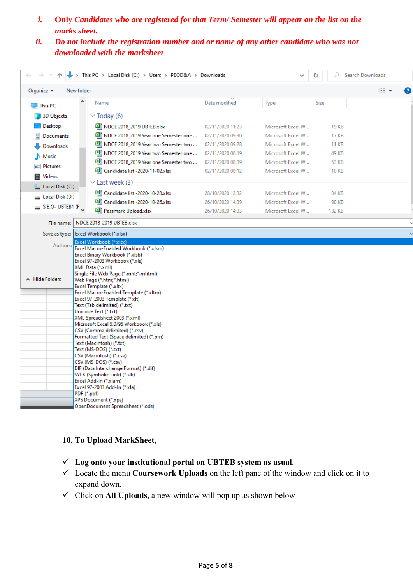- *i.* **Only** *Candidates who are registered for that Term/ Semester will appear on the list on the marks sheet.*
- *ii. Do not include the registration number and or name of any other candidate who was not downloaded with the marksheet*

|                                                                        | > This PC > Local Disk (C:) > Users > PEOD&A > Downloads                                                                                                                                                                                                                                                                                        |                                      |                   | Ω            | <b>Search Downloads</b> |
|------------------------------------------------------------------------|-------------------------------------------------------------------------------------------------------------------------------------------------------------------------------------------------------------------------------------------------------------------------------------------------------------------------------------------------|--------------------------------------|-------------------|--------------|-------------------------|
| New folder<br>Organize $\blacktriangledown$                            |                                                                                                                                                                                                                                                                                                                                                 |                                      |                   |              | 脂目 ▼                    |
| $\Box$ This PC                                                         | Name                                                                                                                                                                                                                                                                                                                                            | Date modified                        | Type              | Size         |                         |
| 3D Objects                                                             | $\vee$ Today (6)                                                                                                                                                                                                                                                                                                                                |                                      |                   |              |                         |
| Desktop                                                                | 图 NDCE 2018 2019 UBTEB.xlsx                                                                                                                                                                                                                                                                                                                     | 02/11/2020 11:23                     | Microsoft Excel W | <b>19 KB</b> |                         |
| Documents                                                              | NDCE 2018_2019 Year one Semester one                                                                                                                                                                                                                                                                                                            | 02/11/2020 09:30                     | Microsoft Excel W | <b>17 KB</b> |                         |
| Downloads                                                              | NDCE 2018_2019 Year two Semester two                                                                                                                                                                                                                                                                                                            | 02/11/2020 09:28                     | Microsoft Excel W | <b>11 KB</b> |                         |
| Music                                                                  | NDCE 2018_2019 Year two Semester one                                                                                                                                                                                                                                                                                                            | 02/11/2020 08:19                     | Microsoft Excel W | 49 KB        |                         |
|                                                                        | NDCE 2018_2019 Year one Semester two                                                                                                                                                                                                                                                                                                            | 02/11/2020 08:19                     | Microsoft Excel W | 53 KB        |                         |
| Pictures                                                               | 图 Candidate list -2020-11-02.xlsx                                                                                                                                                                                                                                                                                                               | 02/11/2020 08:12                     | Microsoft Excel W | 10 KB        |                         |
| Videos<br>-4                                                           | $\vee$ Last week (3)                                                                                                                                                                                                                                                                                                                            |                                      |                   |              |                         |
| <b>E</b> Local Disk (C:)                                               | 图 Candidate list -2020-10-28.xlsx                                                                                                                                                                                                                                                                                                               | 28/10/2020 12:32                     | Microsoft Excel W | 84 KB        |                         |
| $\Box$ Local Disk (D:)                                                 | Candidate list -2020-10-26.xlsx                                                                                                                                                                                                                                                                                                                 |                                      | Microsoft Excel W | 90 KB        |                         |
| S.E.O- UBTEB1 (F                                                       | Passmark Upload.xlsx                                                                                                                                                                                                                                                                                                                            | 26/10/2020 14:39<br>26/10/2020 14:33 | Microsoft Excel W | 132 KB       |                         |
|                                                                        |                                                                                                                                                                                                                                                                                                                                                 |                                      |                   |              |                         |
| File name:                                                             | NDCE 2018_2019 UBTEB.xlsx                                                                                                                                                                                                                                                                                                                       |                                      |                   |              |                         |
|                                                                        | Save as type: Excel Workbook (*.xlsx)                                                                                                                                                                                                                                                                                                           |                                      |                   |              |                         |
| A Hide Folders<br>Unicode Text (*.txt)<br>XML Spreadsheet 2003 (*.xml) | Authors: Excel Macro-Enabled Workbook (*.xlsm)<br>Excel Binary Workbook (*.xlsb)<br>Excel 97-2003 Workbook (*.xls)<br>XML Data (*.xml)<br>Single File Web Page (*.mht;*.mhtml)<br>Web Page (*.htm;*.html)<br>Excel Template (*.xltx)<br>Excel Macro-Enabled Template (*.xltm)<br>Excel 97-2003 Template (*.xlt)<br>Text (Tab delimited) (*.txt) |                                      |                   |              |                         |

#### **10. To Upload MarkSheet**,

- **Log onto your institutional portal on UBTEB system as usual.**
- Locate the menu **Coursework Uploads** on the left pane of the window and click on it to expand down.
- Click on **All Uploads,** a new window will pop up as shown below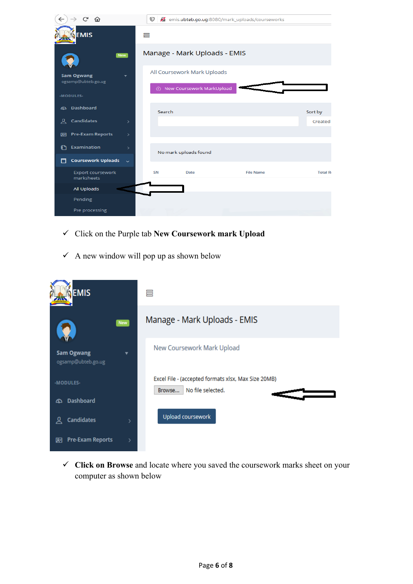| ∼<br>仚                                         | $\boldsymbol{\mathbb{O}}$ |                                                            | emis.ubteb.go.ug:8080/mark_uploads/courseworks |                 |
|------------------------------------------------|---------------------------|------------------------------------------------------------|------------------------------------------------|-----------------|
| <b>EMIS</b>                                    | 巪                         |                                                            |                                                |                 |
| <b>New</b>                                     |                           | Manage - Mark Uploads - EMIS                               |                                                |                 |
| <b>Sam Ogwang</b><br>ogsamp@ubteb.go.ug        |                           | All Coursework Mark Uploads<br>A New Coursework MarkUpload |                                                |                 |
| -MODULES-                                      |                           |                                                            |                                                |                 |
| <b>Dashboard</b><br><b>B</b>                   | Search                    |                                                            |                                                | Sort by         |
| Candidates<br>요<br>$\rightarrow$               |                           |                                                            |                                                | Created         |
| <b>Pre-Exam Reports</b><br>$\rightarrow$<br>四  |                           |                                                            |                                                |                 |
| Examination<br>M<br>$\rightarrow$              |                           | No mark uploads found                                      |                                                |                 |
| <b>Coursework Uploads</b><br>٣٦<br>$\ddotmark$ |                           |                                                            |                                                |                 |
| <b>Export coursework</b><br>marksheets         | <b>SN</b>                 | <b>Date</b>                                                | <b>File Name</b>                               | <b>Total Ro</b> |
| All Uploads                                    |                           |                                                            |                                                |                 |
| Pending                                        |                           |                                                            |                                                |                 |
| Pre processing                                 |                           |                                                            |                                                |                 |

- Click on the Purple tab **New Coursework mark Upload**
- $\checkmark$  A new window will pop up as shown below



 **Click on Browse** and locate where you saved the coursework marks sheet on your computer as shown below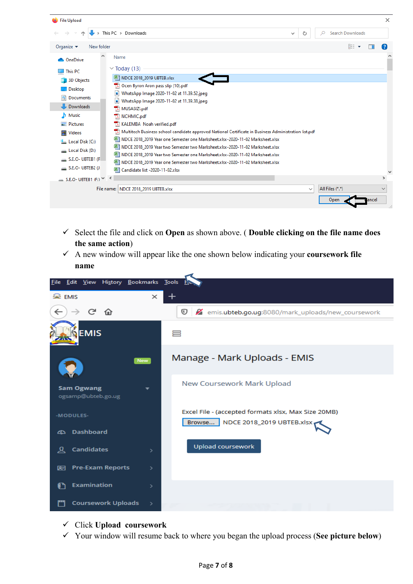

- Select the file and click on **Open** as shown above. ( **Double clicking on the file name does the same action**)
- A new window will appear like the one shown below indicating your **coursework file name**



- Click **Upload coursework**
- Your window will resume back to where you began the upload process (**See picture below**)